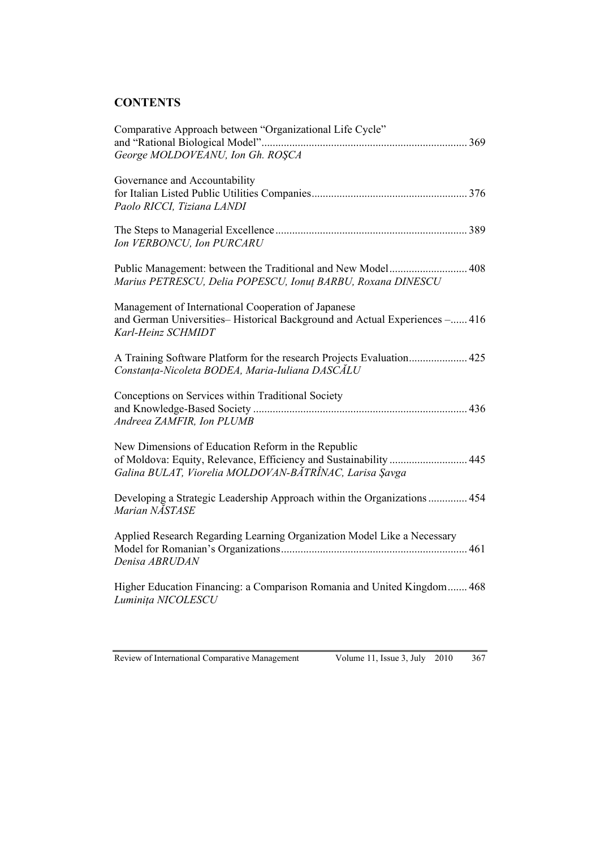## **CONTENTS**

| Comparative Approach between "Organizational Life Cycle"<br>George MOLDOVEANU, Ion Gh. ROSCA                                                                                      |
|-----------------------------------------------------------------------------------------------------------------------------------------------------------------------------------|
| Governance and Accountability<br>Paolo RICCI, Tiziana LANDI                                                                                                                       |
| Ion VERBONCU, Ion PURCARU                                                                                                                                                         |
| Public Management: between the Traditional and New Model 408<br>Marius PETRESCU, Delia POPESCU, Ionut BARBU, Roxana DINESCU                                                       |
| Management of International Cooperation of Japanese<br>and German Universities-Historical Background and Actual Experiences - 416<br>Karl-Heinz SCHMIDT                           |
| A Training Software Platform for the research Projects Evaluation 425<br>Constanța-Nicoleta BODEA, Maria-Iuliana DASCĂLU                                                          |
| Conceptions on Services within Traditional Society<br>Andreea ZAMFIR, Ion PLUMB                                                                                                   |
| New Dimensions of Education Reform in the Republic<br>of Moldova: Equity, Relevance, Efficiency and Sustainability  445<br>Galina BULAT, Viorelia MOLDOVAN-BĂTRÎNAC, Larisa Şavga |
| Developing a Strategic Leadership Approach within the Organizations 454<br>Marian NASTASE                                                                                         |
| Applied Research Regarding Learning Organization Model Like a Necessary<br>Denisa ABRUDAN                                                                                         |
| Higher Education Financing: a Comparison Romania and United Kingdom 468<br>Luminița NICOLESCU                                                                                     |
|                                                                                                                                                                                   |

Volume 11, Issue 3, July 2010  $367$